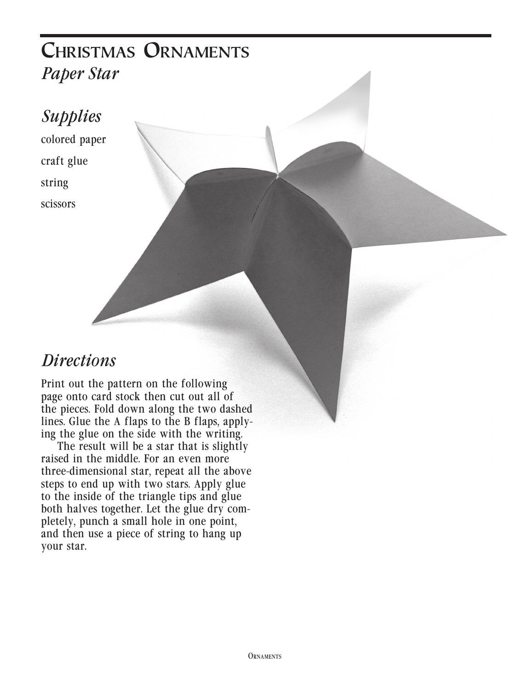### **Christmas Ornaments** *Paper Star*

#### *Supplies*

colored paper craft glue string scissors

#### *Directions*

Print out the pattern on the following page onto card stock then cut out all of the pieces. Fold down along the two dashed lines. Glue the A flaps to the B flaps, applying the glue on the side with the writing.

The result will be a star that is slightly raised in the middle. For an even more three-dimensional star, repeat all the above steps to end up with two stars. Apply glue to the inside of the triangle tips and glue both halves together. Let the glue dry completely, punch a small hole in one point, and then use a piece of string to hang up your star.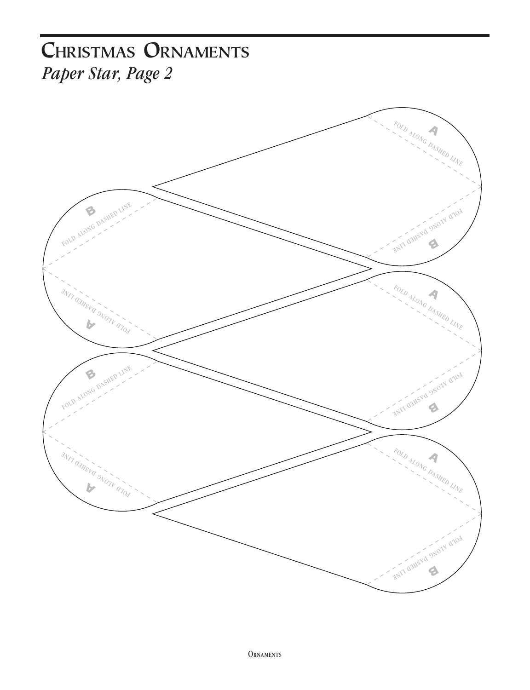## **Christmas Ornaments** *Paper Star, Page 2*

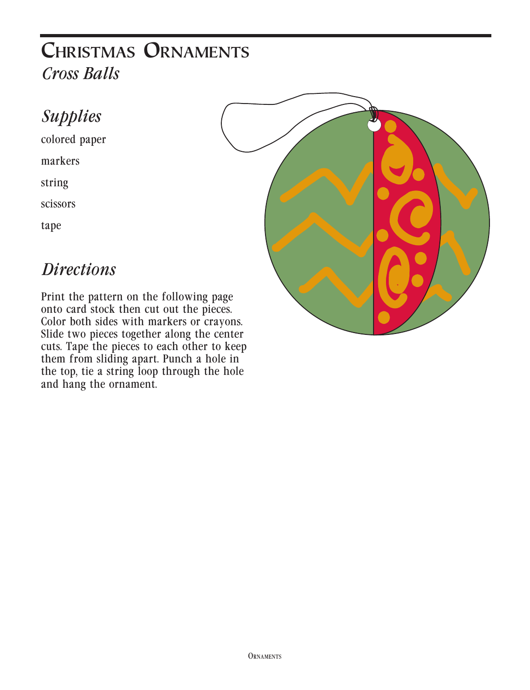### **Christmas Ornaments** *Cross Balls*

#### *Supplies*

colored paper

markers

string

scissors

tape

#### *Directions*

Print the pattern on the following page onto card stock then cut out the pieces. Color both sides with markers or crayons. Slide two pieces together along the center cuts. Tape the pieces to each other to keep them from sliding apart. Punch a hole in the top, tie a string loop through the hole and hang the ornament.